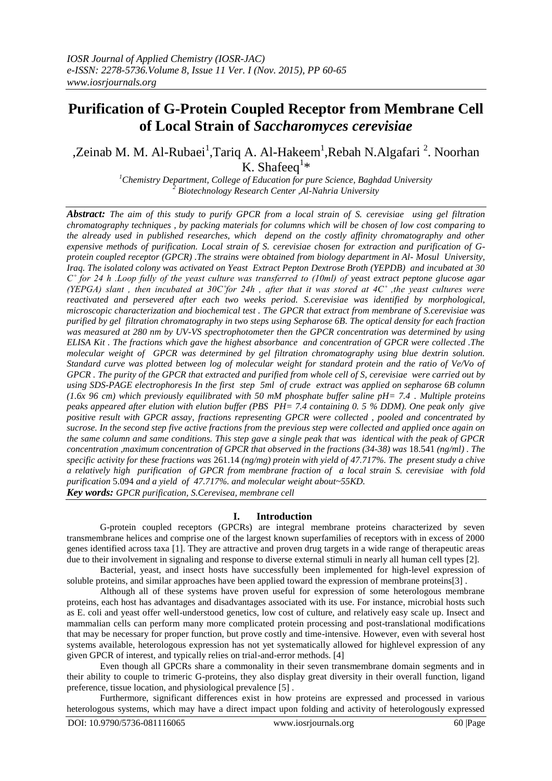# **Purification of G-Protein Coupled Receptor from Membrane Cell of Local Strain of** *Saccharomyces cerevisiae*

## ,Zeinab M. M. Al-Rubaei<sup>1</sup>, Tariq A. Al-Hakeem<sup>1</sup>, Rebah N. Algafari<sup>2</sup>. Noorhan K. Shafeeq<sup>1\*</sup>

*<sup>1</sup>Chemistry Department, College of Education for pure Science, Baghdad University <sup>2</sup> Biotechnology Research Center ,Al-Nahria University*

*Abstract: The aim of this study to purify GPCR from a local strain of S. cerevisiae using gel filtration chromatography techniques , by packing materials for columns which will be chosen of low cost comparing to the already used in published researches, which depend on the costly affinity chromatography and other expensive methods of purification. Local strain of S. cerevisiae chosen for extraction and purification of Gprotein coupled receptor (GPCR) .The strains were obtained from biology department in Al- Mosul University, Iraq. The isolated colony was activated on Yeast Extract Pepton Dextrose Broth (YEPDB) and incubated at 30 C˚ for 24 h .Loop fully of the yeast culture was transferred to (10ml) of yeast extract peptone glucose agar (YEPGA) slant , then incubated at 30C˚for 24h , after that it was stored at 4C˚ ,the yeast cultures were reactivated and persevered after each two weeks period. S.cerevisiae was identified by morphological, microscopic characterization and biochemical test . The GPCR that extract from membrane of S.cerevisiae was purified by gel filtration chromatography in two steps using Sepharose 6B. The optical density for each fraction was measured at 280 nm by UV-VS spectrophotometer then the GPCR concentration was determined by using ELISA Kit . The fractions which gave the highest absorbance and concentration of GPCR were collected .The molecular weight of GPCR was determined by gel filtration chromatography using blue dextrin solution. Standard curve was plotted between log of molecular weight for standard protein and the ratio of Ve/Vo of GPCR . The purity of the GPCR that extracted and purified from whole cell of S, cerevisiae were carried out by using SDS-PAGE electrophoresis In the first step 5ml of crude extract was applied on sepharose 6B column (1.6x 96 cm) which previously equilibrated with 50 mM phosphate buffer saline pH= 7.4 . Multiple proteins peaks appeared after elution with elution buffer (PBS PH= 7.4 containing 0. 5 % DDM). One peak only give positive result with GPCR assay, fractions representing GPCR were collected , pooled and concentrated by sucrose. In the second step five active fractions from the previous step were collected and applied once again on the same column and same conditions. This step gave a single peak that was identical with the peak of GPCR concentration ,maximum concentration of GPCR that observed in the fractions (34-38) was* 18.541 *(ng/ml) . The specific activity for these fractions was* 261.14 *(ng/mg) protein with yield of 47.717%. The present study a chive a relatively high purification of GPCR from membrane fraction of a local strain S. cerevisiae with fold purification* 5.094 *and a yield of 47.717%. and molecular weight about~55KD. Key words: GPCR purification, S.Cerevisea, membrane cell* 

### **I. Introduction**

G-protein coupled receptors (GPCRs) are integral membrane proteins characterized by seven transmembrane helices and comprise one of the largest known superfamilies of receptors with in excess of 2000 genes identified across taxa [1]. They are attractive and proven drug targets in a wide range of therapeutic areas due to their involvement in signaling and response to diverse external stimuli in nearly all human cell types [2].

Bacterial, yeast, and insect hosts have successfully been implemented for high-level expression of soluble proteins, and similar approaches have been applied toward the expression of membrane proteins[3] .

Although all of these systems have proven useful for expression of some heterologous membrane proteins, each host has advantages and disadvantages associated with its use. For instance, microbial hosts such as E. coli and yeast offer well-understood genetics, low cost of culture, and relatively easy scale up. Insect and mammalian cells can perform many more complicated protein processing and post-translational modifications that may be necessary for proper function, but prove costly and time-intensive. However, even with several host systems available, heterologous expression has not yet systematically allowed for highlevel expression of any given GPCR of interest, and typically relies on trial-and-error methods. [4]

Even though all GPCRs share a commonality in their seven transmembrane domain segments and in their ability to couple to trimeric G-proteins, they also display great diversity in their overall function, ligand preference, tissue location, and physiological prevalence [5] .

Furthermore, significant differences exist in how proteins are expressed and processed in various heterologous systems, which may have a direct impact upon folding and activity of heterologously expressed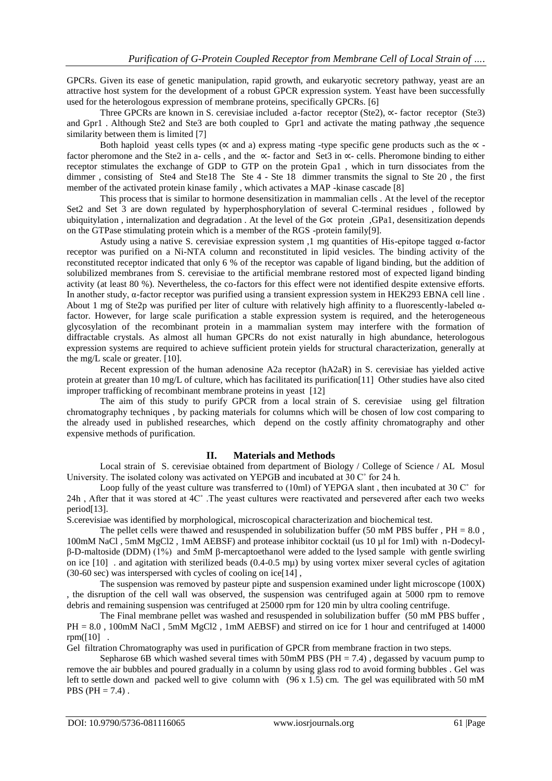GPCRs. Given its ease of genetic manipulation, rapid growth, and eukaryotic secretory pathway, yeast are an attractive host system for the development of a robust GPCR expression system. Yeast have been successfully used for the heterologous expression of membrane proteins, specifically GPCRs. [6]

Three GPCRs are known in S. cerevisiae included a-factor receptor (Ste2), ∝- factor receptor (Ste3) and Gpr1 . Although Ste2 and Ste3 are both coupled to Gpr1 and activate the mating pathway ,the sequence similarity between them is limited [7]

Both haploid yeast cells types ( $\alpha$  and a) express mating -type specific gene products such as the  $\alpha$  factor pheromone and the Ste2 in a- cells , and the ∝- factor and Set3 in ∝- cells. Pheromone binding to either receptor stimulates the exchange of GDP to GTP on the protein Gpa1 , which in turn dissociates from the dimmer , consisting of Ste4 and Ste18 The Ste 4 - Ste 18 dimmer transmits the signal to Ste 20 , the first member of the activated protein kinase family , which activates a MAP -kinase cascade [8]

This process that is similar to hormone desensitization in mammalian cells . At the level of the receptor Set2 and Set 3 are down regulated by hyperphosphorylation of several C-terminal residues , followed by ubiquitylation, internalization and degradation. At the level of the  $G \propto$  protein ,GPa1, desensitization depends on the GTPase stimulating protein which is a member of the RGS -protein family[9].

Astudy using a native S. cerevisiae expression system ,1 mg quantities of His-epitope tagged α-factor receptor was purified on a Ni-NTA column and reconstituted in lipid vesicles. The binding activity of the reconstituted receptor indicated that only 6 % of the receptor was capable of ligand binding, but the addition of solubilized membranes from S. cerevisiae to the artificial membrane restored most of expected ligand binding activity (at least 80 %). Nevertheless, the co-factors for this effect were not identified despite extensive efforts. In another study, α-factor receptor was purified using a transient expression system in HEK293 EBNA cell line . About 1 mg of Ste2p was purified per liter of culture with relatively high affinity to a fluorescently-labeled  $\alpha$ factor. However, for large scale purification a stable expression system is required, and the heterogeneous glycosylation of the recombinant protein in a mammalian system may interfere with the formation of diffractable crystals. As almost all human GPCRs do not exist naturally in high abundance, heterologous expression systems are required to achieve sufficient protein yields for structural characterization, generally at the mg/L scale or greater. [10].

Recent expression of the human adenosine A2a receptor (hA2aR) in S. cerevisiae has yielded active protein at greater than 10 mg/L of culture, which has facilitated its purification[11] Other studies have also cited improper trafficking of recombinant membrane proteins in yeast [12]

The aim of this study to purify GPCR from a local strain of S. cerevisiae using gel filtration chromatography techniques , by packing materials for columns which will be chosen of low cost comparing to the already used in published researches, which depend on the costly affinity chromatography and other expensive methods of purification.

### **II. Materials and Methods**

Local strain of S. cerevisiae obtained from department of Biology / College of Science / AL Mosul University. The isolated colony was activated on YEPGB and incubated at 30 C˚ for 24 h.

Loop fully of the yeast culture was transferred to (10ml) of YEPGA slant, then incubated at 30 ° for 24h , After that it was stored at 4C˚ .The yeast cultures were reactivated and persevered after each two weeks period[13].

S.cerevisiae was identified by morphological, microscopical characterization and biochemical test.

The pellet cells were thawed and resuspended in solubilization buffer (50 mM PBS buffer,  $PH = 8.0$ , 100mM NaCl , 5mM MgCl2 , 1mM AEBSF) and protease inhibitor cocktail (us 10 µl for 1ml) with n-Dodecylβ-D-maltoside (DDM) (1%) and 5mM β-mercaptoethanol were added to the lysed sample with gentle swirling on ice  $[10]$ . and agitation with sterilized beads  $(0.4-0.5 \text{ m})$  by using vortex mixer several cycles of agitation (30-60 sec) was interspersed with cycles of cooling on ice[14] ,

The suspension was removed by pasteur pipte and suspension examined under light microscope (100X) , the disruption of the cell wall was observed, the suspension was centrifuged again at 5000 rpm to remove debris and remaining suspension was centrifuged at 25000 rpm for 120 min by ultra cooling centrifuge.

The Final membrane pellet was washed and resuspended in solubilization buffer (50 mM PBS buffer , PH = 8.0, 100mM NaCl, 5mM MgCl2, 1mM AEBSF) and stirred on ice for 1 hour and centrifuged at 14000 rpm $([10]$ .

Gel filtration Chromatography was used in purification of GPCR from membrane fraction in two steps.

Sepharose 6B which washed several times with 50mM PBS ( $PH = 7.4$ ), degassed by vacuum pump to remove the air bubbles and poured gradually in a column by using glass rod to avoid forming bubbles . Gel was left to settle down and packed well to give column with  $(96 \times 1.5)$  cm. The gel was equilibrated with 50 mM PBS ( $PH = 7.4$ ).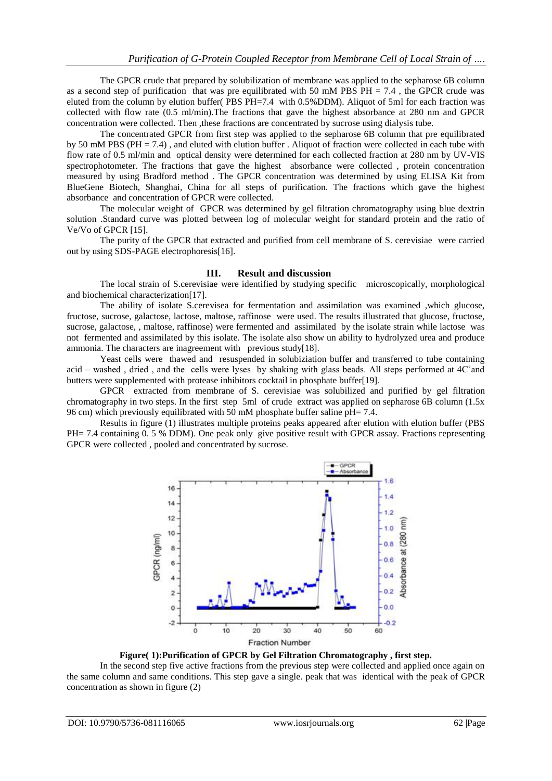The GPCR crude that prepared by solubilization of membrane was applied to the sepharose 6B column as a second step of purification that was pre equilibrated with 50 mM PBS PH  $= 7.4$ , the GPCR crude was eluted from the column by elution buffer( PBS PH=7.4 with 0.5%DDM). Aliquot of 5ml for each fraction was collected with flow rate (0.5 ml/min).The fractions that gave the highest absorbance at 280 nm and GPCR concentration were collected. Then ,these fractions are concentrated by sucrose using dialysis tube.

The concentrated GPCR from first step was applied to the sepharose 6B column that pre equilibrated by 50 mM PBS ( $PH = 7.4$ ), and eluted with elution buffer. Aliquot of fraction were collected in each tube with flow rate of 0.5 ml/min and optical density were determined for each collected fraction at 280 nm by UV-VIS spectrophotometer. The fractions that gave the highest absorbance were collected , protein concentration measured by using Bradford method . The GPCR concentration was determined by using ELISA Kit from BlueGene Biotech, Shanghai, China for all steps of purification. The fractions which gave the highest absorbance and concentration of GPCR were collected.

The molecular weight of GPCR was determined by gel filtration chromatography using blue dextrin solution .Standard curve was plotted between log of molecular weight for standard protein and the ratio of Ve/Vo of GPCR [15].

The purity of the GPCR that extracted and purified from cell membrane of S. cerevisiae were carried out by using SDS-PAGE electrophoresis[16].

#### **III. Result and discussion**

The local strain of S.cerevisiae were identified by studying specific microscopically, morphological and biochemical characterization[17].

The ability of isolate S.cerevisea for fermentation and assimilation was examined ,which glucose, fructose, sucrose, galactose, lactose, maltose, raffinose were used. The results illustrated that glucose, fructose, sucrose, galactose, , maltose, raffinose) were fermented and assimilated by the isolate strain while lactose was not fermented and assimilated by this isolate. The isolate also show un ability to hydrolyzed urea and produce ammonia. The characters are inagreement with previous study[18].

Yeast cells were thawed and resuspended in solubiziation buffer and transferred to tube containing acid – washed , dried , and the cells were lyses by shaking with glass beads. All steps performed at 4C˚and butters were supplemented with protease inhibitors cocktail in phosphate buffer[19].

GPCR extracted from membrane of S. cerevisiae was solubilized and purified by gel filtration chromatography in two steps. In the first step 5ml of crude extract was applied on sepharose 6B column (1.5x 96 cm) which previously equilibrated with  $50 \text{ mM}$  phosphate buffer saline pH= 7.4.

Results in figure (1) illustrates multiple proteins peaks appeared after elution with elution buffer (PBS PH= 7.4 containing 0. 5 % DDM). One peak only give positive result with GPCR assay. Fractions representing GPCR were collected , pooled and concentrated by sucrose.



**Figure( 1):Purification of GPCR by Gel Filtration Chromatography , first step.**

In the second step five active fractions from the previous step were collected and applied once again on the same column and same conditions. This step gave a single. peak that was identical with the peak of GPCR concentration as shown in figure (2)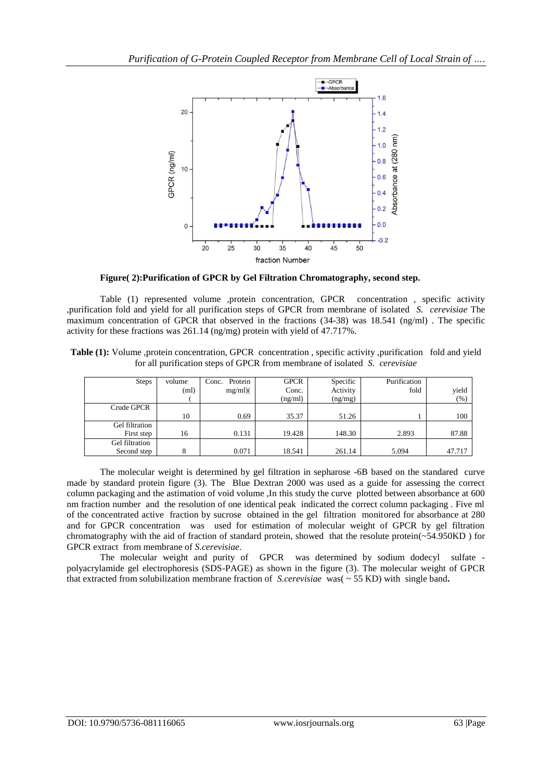

 **Figure( 2):Purification of GPCR by Gel Filtration Chromatography, second step.**

Table (1) represented volume ,protein concentration, GPCR concentration , specific activity ,purification fold and yield for all purification steps of GPCR from membrane of isolated *S. cerevisiae* The maximum concentration of GPCR that observed in the fractions (34-38) was 18.541 (ng/ml) . The specific activity for these fractions was 261.14 (ng/mg) protein with yield of 47.717%.

| Table (1): Volume , protein concentration, GPCR concentration, specific activity , purification fold and yield |  |
|----------------------------------------------------------------------------------------------------------------|--|
| for all purification steps of GPCR from membrane of isolated S. cerevisiae                                     |  |

| Steps          | volume | Protein<br>Conc. | <b>GPCR</b> | Specific | Purification |        |
|----------------|--------|------------------|-------------|----------|--------------|--------|
|                | (ml)   | $mg/ml$ )(       | Conc.       | Activity | fold         | yield  |
|                |        |                  | (ng/ml)     | (ng/mg)  |              | (%)    |
| Crude GPCR     |        |                  |             |          |              |        |
|                | 10     | 0.69             | 35.37       | 51.26    |              | 100    |
| Gel filtration |        |                  |             |          |              |        |
| First step     | 16     | 0.131            | 19.428      | 148.30   | 2.893        | 87.88  |
| Gel filtration |        |                  |             |          |              |        |
| Second step    | 8      | 0.071            | 18.541      | 261.14   | 5.094        | 47.717 |

The molecular weight is determined by gel filtration in sepharose -6B based on the standared curve made by standard protein figure (3). The Blue Dextran 2000 was used as a guide for assessing the correct column packaging and the astimation of void volume ,In this study the curve plotted between absorbance at 600 nm fraction number and the resolution of one identical peak indicated the correct column packaging . Five ml of the concentrated active fraction by sucrose obtained in the gel filtration monitored for absorbance at 280 and for GPCR concentration was used for estimation of molecular weight of GPCR by gel filtration chromatography with the aid of fraction of standard protein, showed that the resolute protein( $\sim$ 54.950KD) for GPCR extract from membrane of *S.cerevisiae*.

The molecular weight and purity of GPCR was determined by sodium dodecyl sulfate polyacrylamide gel electrophoresis (SDS-PAGE) as shown in the figure (3). The molecular weight of GPCR that extracted from solubilization membrane fraction of *S.cerevisiae* was( ~ 55 KD) with single band**.**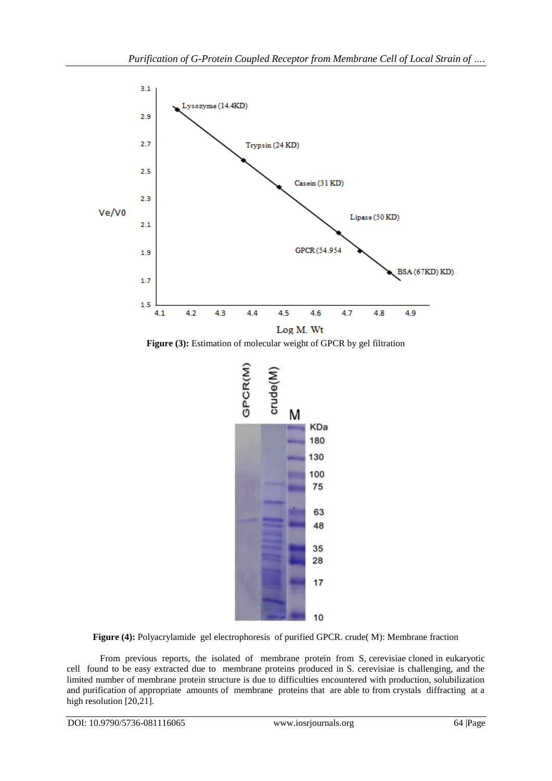

**Figure (3):** Estimation of molecular weight of GPCR by gel filtration



**Figure (4):** Polyacrylamide gel electrophoresis of purified GPCR. crude( M): Membrane fraction

From previous reports, the isolated of membrane protein from S, cerevisiae cloned in eukaryotic cell found to be easy extracted due to membrane proteins produced in S. cerevisiae is challenging, and the limited number of membrane protein structure is due to difficulties encountered with production, solubilization and purification of appropriate amounts of membrane proteins that are able to from crystals diffracting at a high resolution [20,21].